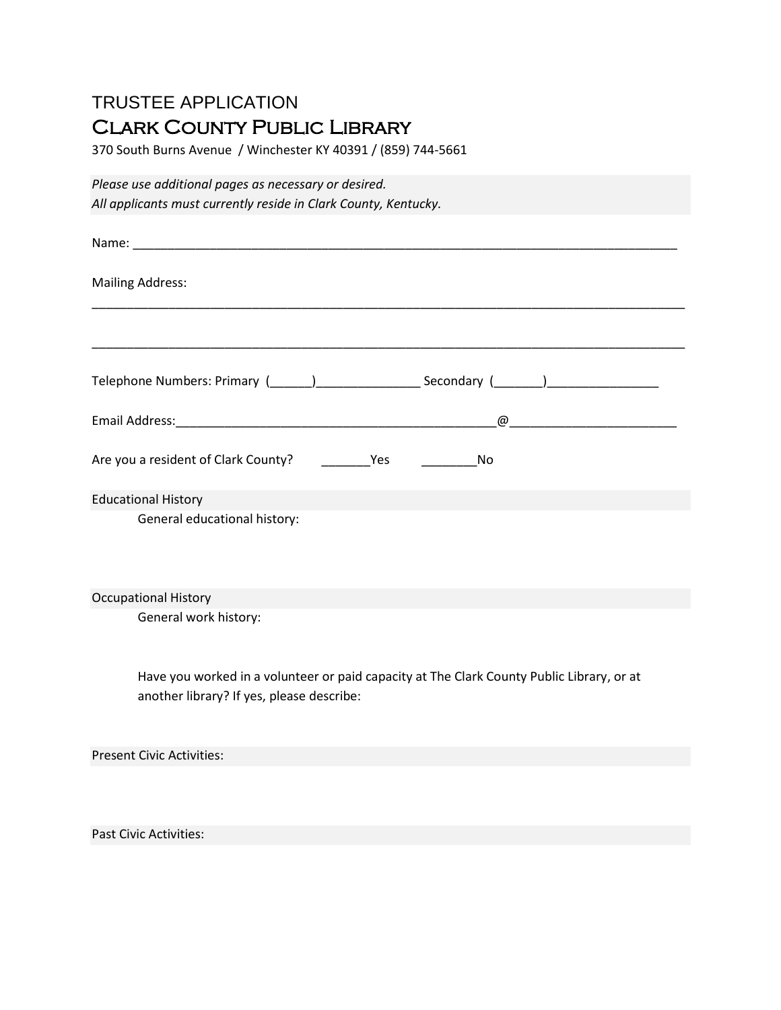## TRUSTEE APPLICATION Clark County Public Library

370 South Burns Avenue / Winchester KY 40391 / (859) 744-5661

*Please use additional pages as necessary or desired. All applicants must currently reside in Clark County, Kentucky.*

| <b>Mailing Address:</b>                                                                                                                |
|----------------------------------------------------------------------------------------------------------------------------------------|
|                                                                                                                                        |
| Telephone Numbers: Primary (______)______________________Secondary (_______)_______________________                                    |
|                                                                                                                                        |
| Are you a resident of Clark County? _____________Yes<br>$\overline{\phantom{a}}$ No                                                    |
| <b>Educational History</b>                                                                                                             |
| General educational history:                                                                                                           |
| <b>Occupational History</b>                                                                                                            |
| General work history:                                                                                                                  |
| Have you worked in a volunteer or paid capacity at The Clark County Public Library, or at<br>another library? If yes, please describe: |
| <b>Present Civic Activities:</b>                                                                                                       |
|                                                                                                                                        |
| <b>Past Civic Activities:</b>                                                                                                          |